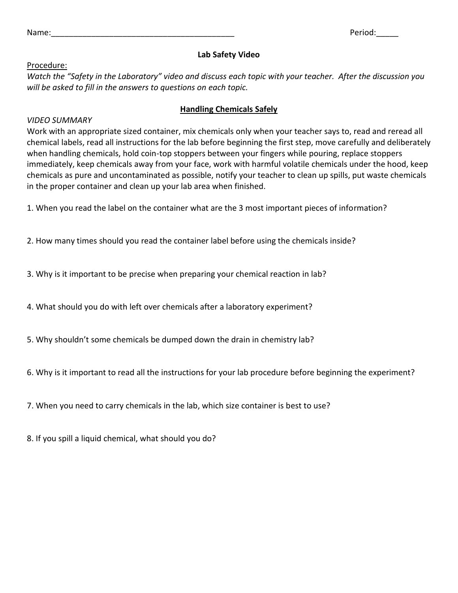| am   |  |  |
|------|--|--|
| PU 1 |  |  |
|      |  |  |

## **Lab Safety Video**

Procedure:

*Watch the "Safety in the Laboratory" video and discuss each topic with your teacher. After the discussion you will be asked to fill in the answers to questions on each topic.* 

# **Handling Chemicals Safely**

#### *VIDEO SUMMARY*

Work with an appropriate sized container, mix chemicals only when your teacher says to, read and reread all chemical labels, read all instructions for the lab before beginning the first step, move carefully and deliberately when handling chemicals, hold coin-top stoppers between your fingers while pouring, replace stoppers immediately, keep chemicals away from your face, work with harmful volatile chemicals under the hood, keep chemicals as pure and uncontaminated as possible, notify your teacher to clean up spills, put waste chemicals in the proper container and clean up your lab area when finished.

1. When you read the label on the container what are the 3 most important pieces of information?

2. How many times should you read the container label before using the chemicals inside?

- 3. Why is it important to be precise when preparing your chemical reaction in lab?
- 4. What should you do with left over chemicals after a laboratory experiment?
- 5. Why shouldn't some chemicals be dumped down the drain in chemistry lab?
- 6. Why is it important to read all the instructions for your lab procedure before beginning the experiment?

7. When you need to carry chemicals in the lab, which size container is best to use?

8. If you spill a liquid chemical, what should you do?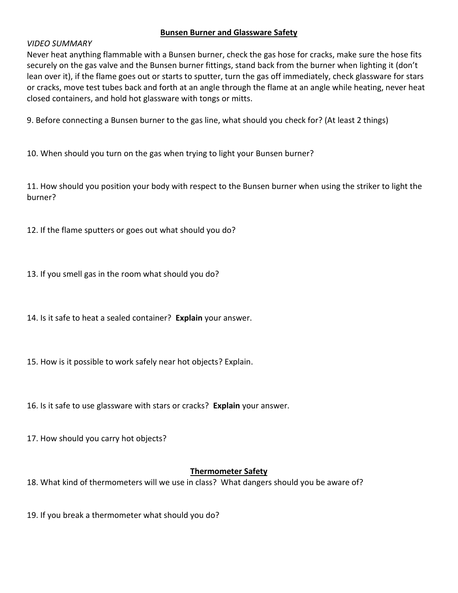## **Bunsen Burner and Glassware Safety**

#### *VIDEO SUMMARY*

Never heat anything flammable with a Bunsen burner, check the gas hose for cracks, make sure the hose fits securely on the gas valve and the Bunsen burner fittings, stand back from the burner when lighting it (don't lean over it), if the flame goes out or starts to sputter, turn the gas off immediately, check glassware for stars or cracks, move test tubes back and forth at an angle through the flame at an angle while heating, never heat closed containers, and hold hot glassware with tongs or mitts.

9. Before connecting a Bunsen burner to the gas line, what should you check for? (At least 2 things)

10. When should you turn on the gas when trying to light your Bunsen burner?

11. How should you position your body with respect to the Bunsen burner when using the striker to light the burner?

12. If the flame sputters or goes out what should you do?

- 13. If you smell gas in the room what should you do?
- 14. Is it safe to heat a sealed container? **Explain** your answer.
- 15. How is it possible to work safely near hot objects? Explain.
- 16. Is it safe to use glassware with stars or cracks? **Explain** your answer.
- 17. How should you carry hot objects?

# **Thermometer Safety**

18. What kind of thermometers will we use in class? What dangers should you be aware of?

19. If you break a thermometer what should you do?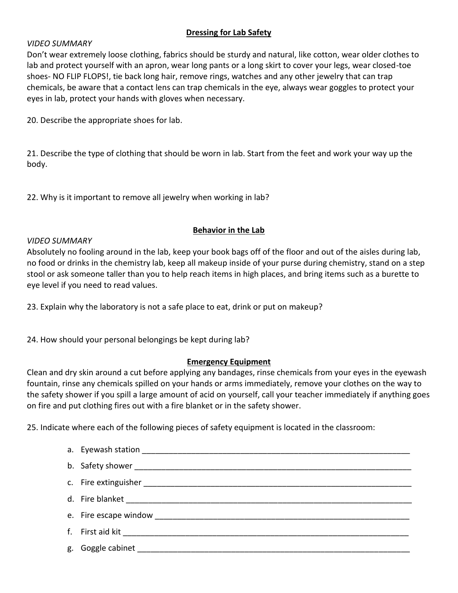# **Dressing for Lab Safety**

### *VIDEO SUMMARY*

Don't wear extremely loose clothing, fabrics should be sturdy and natural, like cotton, wear older clothes to lab and protect yourself with an apron, wear long pants or a long skirt to cover your legs, wear closed-toe shoes- NO FLIP FLOPS!, tie back long hair, remove rings, watches and any other jewelry that can trap chemicals, be aware that a contact lens can trap chemicals in the eye, always wear goggles to protect your eyes in lab, protect your hands with gloves when necessary.

20. Describe the appropriate shoes for lab.

21. Describe the type of clothing that should be worn in lab. Start from the feet and work your way up the body.

22. Why is it important to remove all jewelry when working in lab?

## **Behavior in the Lab**

#### *VIDEO SUMMARY*

Absolutely no fooling around in the lab, keep your book bags off of the floor and out of the aisles during lab, no food or drinks in the chemistry lab, keep all makeup inside of your purse during chemistry, stand on a step stool or ask someone taller than you to help reach items in high places, and bring items such as a burette to eye level if you need to read values.

23. Explain why the laboratory is not a safe place to eat, drink or put on makeup?

24. How should your personal belongings be kept during lab?

# **Emergency Equipment**

Clean and dry skin around a cut before applying any bandages, rinse chemicals from your eyes in the eyewash fountain, rinse any chemicals spilled on your hands or arms immediately, remove your clothes on the way to the safety shower if you spill a large amount of acid on yourself, call your teacher immediately if anything goes on fire and put clothing fires out with a fire blanket or in the safety shower.

25. Indicate where each of the following pieces of safety equipment is located in the classroom: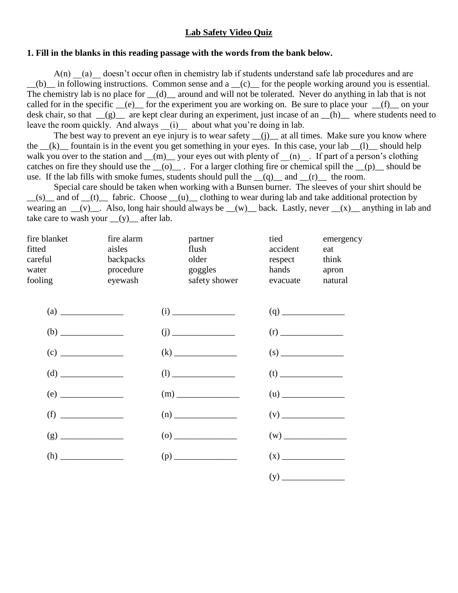## **Lab Safety Video Quiz**

#### **1. Fill in the blanks in this reading passage with the words from the bank below.**

 $A(n)$  (a) doesn't occur often in chemistry lab if students understand safe lab procedures and are  $_{\text{(b)}}$  in following instructions. Common sense and a  $_{\text{(c)}}$  for the people working around you is essential. The chemistry lab is no place for  $\alpha$  around and will not be tolerated. Never do anything in lab that is not called for in the specific  $(e)$  for the experiment you are working on. Be sure to place your  $(f)$  on your desk chair, so that  $(g)$  are kept clear during an experiment, just incase of an  $(h)$  where students need to leave the room quickly. And always \_\_(i)\_\_ about what you're doing in lab.

The best way to prevent an eye injury is to wear safety  $(i)$  at all times. Make sure you know where the  $(k)$  fountain is in the event you get something in your eyes. In this case, your lab  $(l)$  should help walk you over to the station and  $\underline{\hspace{1cm}}(m)$  your eyes out with plenty of  $\underline{\hspace{1cm}}(n)$ . If part of a person's clothing catches on fire they should use the  $\_\mathrm{(O)}\_\mathrm{c}$ . For a larger clothing fire or chemical spill the  $\_\mathrm{(p)}\_\mathrm{s}$  should be use. If the lab fills with smoke fumes, students should pull the  $(q)$  and  $(r)$  the room.

Special care should be taken when working with a Bunsen burner. The sleeves of your shirt should be  $_{(s)}$  and of  $_{(t)}$  fabric. Choose  $_{(u)}$  clothing to wear during lab and take additional protection by wearing an  $(v)$ . Also, long hair should always be  $(w)$  back. Lastly, never  $(x)$  anything in lab and take care to wash your  $(y)$  after lab.

| fire blanket<br>fitted<br>careful<br>water<br>fooling | fire alarm<br>aisles<br>backpacks<br>procedure<br>eyewash | partner<br>flush<br>older<br>goggles<br>safety shower | tied<br>emergency<br>accident<br>eat<br>think<br>respect<br>hands<br>apron<br>natural<br>evacuate |
|-------------------------------------------------------|-----------------------------------------------------------|-------------------------------------------------------|---------------------------------------------------------------------------------------------------|
| $\left( \text{a} \right)$                             |                                                           |                                                       |                                                                                                   |
|                                                       |                                                           |                                                       |                                                                                                   |
| (c)                                                   |                                                           | (k)                                                   | (s)                                                                                               |
| (d)                                                   |                                                           | (1)                                                   |                                                                                                   |
| (e)                                                   |                                                           | (m)                                                   |                                                                                                   |
| (f)                                                   |                                                           | (n)                                                   | (v)                                                                                               |
|                                                       |                                                           |                                                       | (w)                                                                                               |
| (h)                                                   |                                                           |                                                       | (x)                                                                                               |
|                                                       |                                                           |                                                       |                                                                                                   |
|                                                       |                                                           |                                                       |                                                                                                   |